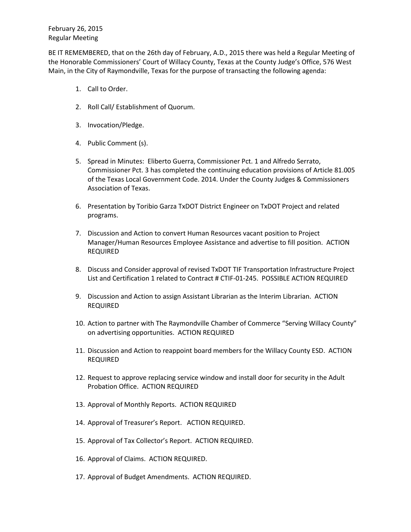BE IT REMEMBERED, that on the 26th day of February, A.D., 2015 there was held a Regular Meeting of the Honorable Commissioners' Court of Willacy County, Texas at the County Judge's Office, 576 West Main, in the City of Raymondville, Texas for the purpose of transacting the following agenda:

- 1. Call to Order.
- 2. Roll Call/ Establishment of Quorum.
- 3. Invocation/Pledge.
- 4. Public Comment (s).
- 5. Spread in Minutes: Eliberto Guerra, Commissioner Pct. 1 and Alfredo Serrato, Commissioner Pct. 3 has completed the continuing education provisions of Article 81.005 of the Texas Local Government Code. 2014. Under the County Judges & Commissioners Association of Texas.
- 6. Presentation by Toribio Garza TxDOT District Engineer on TxDOT Project and related programs.
- 7. Discussion and Action to convert Human Resources vacant position to Project Manager/Human Resources Employee Assistance and advertise to fill position. ACTION REQUIRED
- 8. Discuss and Consider approval of revised TxDOT TIF Transportation Infrastructure Project List and Certification 1 related to Contract # CTIF-01-245. POSSIBLE ACTION REQUIRED
- 9. Discussion and Action to assign Assistant Librarian as the Interim Librarian. ACTION REQUIRED
- 10. Action to partner with The Raymondville Chamber of Commerce "Serving Willacy County" on advertising opportunities. ACTION REQUIRED
- 11. Discussion and Action to reappoint board members for the Willacy County ESD. ACTION REQUIRED
- 12. Request to approve replacing service window and install door for security in the Adult Probation Office. ACTION REQUIRED
- 13. Approval of Monthly Reports. ACTION REQUIRED
- 14. Approval of Treasurer's Report. ACTION REQUIRED.
- 15. Approval of Tax Collector's Report. ACTION REQUIRED.
- 16. Approval of Claims. ACTION REQUIRED.
- 17. Approval of Budget Amendments. ACTION REQUIRED.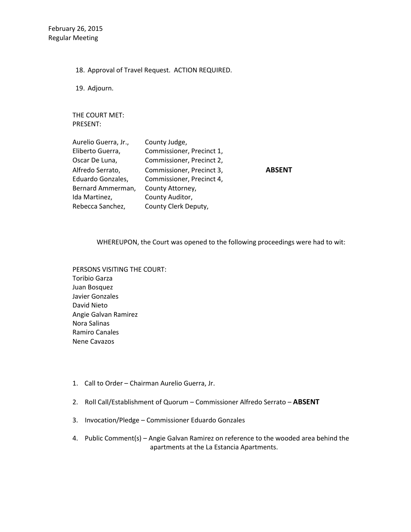18. Approval of Travel Request. ACTION REQUIRED.

19. Adjourn.

THE COURT MET: PRESENT:

| Aurelio Guerra, Jr., | County Judge,             |
|----------------------|---------------------------|
| Eliberto Guerra,     | Commissioner, Precinct 1, |
| Oscar De Luna,       | Commissioner, Precinct 2, |
| Alfredo Serrato,     | Commissioner, Precinct 3, |
| Eduardo Gonzales,    | Commissioner, Precinct 4, |
| Bernard Ammerman,    | County Attorney,          |
| Ida Martinez,        | County Auditor,           |
| Rebecca Sanchez,     | County Clerk Deputy,      |

Alfredo Serrato, Commissioner, Precinct 3, **ABSENT**

WHEREUPON, the Court was opened to the following proceedings were had to wit:

PERSONS VISITING THE COURT: Toribio Garza Juan Bosquez Javier Gonzales David Nieto Angie Galvan Ramirez Nora Salinas Ramiro Canales Nene Cavazos

- 1. Call to Order Chairman Aurelio Guerra, Jr.
- 2. Roll Call/Establishment of Quorum Commissioner Alfredo Serrato **ABSENT**
- 3. Invocation/Pledge Commissioner Eduardo Gonzales
- 4. Public Comment(s) Angie Galvan Ramirez on reference to the wooded area behind the apartments at the La Estancia Apartments.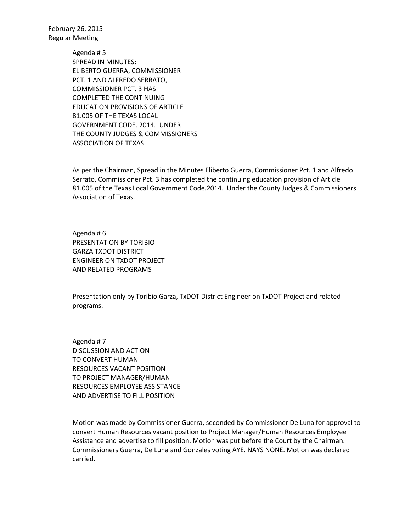> Agenda # 5 SPREAD IN MINUTES: ELIBERTO GUERRA, COMMISSIONER PCT. 1 AND ALFREDO SERRATO, COMMISSIONER PCT. 3 HAS COMPLETED THE CONTINUING EDUCATION PROVISIONS OF ARTICLE 81.005 OF THE TEXAS LOCAL GOVERNMENT CODE. 2014. UNDER THE COUNTY JUDGES & COMMISSIONERS ASSOCIATION OF TEXAS

As per the Chairman, Spread in the Minutes Eliberto Guerra, Commissioner Pct. 1 and Alfredo Serrato, Commissioner Pct. 3 has completed the continuing education provision of Article 81.005 of the Texas Local Government Code.2014. Under the County Judges & Commissioners Association of Texas.

Agenda # 6 PRESENTATION BY TORIBIO GARZA TXDOT DISTRICT ENGINEER ON TXDOT PROJECT AND RELATED PROGRAMS

Presentation only by Toribio Garza, TxDOT District Engineer on TxDOT Project and related programs.

Agenda # 7 DISCUSSION AND ACTION TO CONVERT HUMAN RESOURCES VACANT POSITION TO PROJECT MANAGER/HUMAN RESOURCES EMPLOYEE ASSISTANCE AND ADVERTISE TO FILL POSITION

Motion was made by Commissioner Guerra, seconded by Commissioner De Luna for approval to convert Human Resources vacant position to Project Manager/Human Resources Employee Assistance and advertise to fill position. Motion was put before the Court by the Chairman. Commissioners Guerra, De Luna and Gonzales voting AYE. NAYS NONE. Motion was declared carried.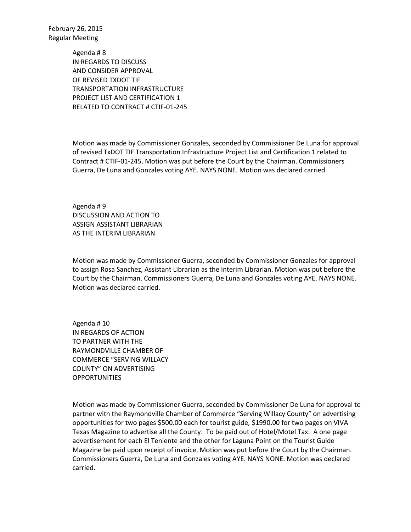> Agenda # 8 IN REGARDS TO DISCUSS AND CONSIDER APPROVAL OF REVISED TXDOT TIF TRANSPORTATION INFRASTRUCTURE PROJECT LIST AND CERTIFICATION 1 RELATED TO CONTRACT # CTIF-01-245

Motion was made by Commissioner Gonzales, seconded by Commissioner De Luna for approval of revised TxDOT TIF Transportation Infrastructure Project List and Certification 1 related to Contract # CTIF-01-245. Motion was put before the Court by the Chairman. Commissioners Guerra, De Luna and Gonzales voting AYE. NAYS NONE. Motion was declared carried.

Agenda # 9 DISCUSSION AND ACTION TO ASSIGN ASSISTANT LIBRARIAN AS THE INTERIM LIBRARIAN

Motion was made by Commissioner Guerra, seconded by Commissioner Gonzales for approval to assign Rosa Sanchez, Assistant Librarian as the Interim Librarian. Motion was put before the Court by the Chairman. Commissioners Guerra, De Luna and Gonzales voting AYE. NAYS NONE. Motion was declared carried.

Agenda # 10 IN REGARDS OF ACTION TO PARTNER WITH THE RAYMONDVILLE CHAMBER OF COMMERCE "SERVING WILLACY COUNTY" ON ADVERTISING **OPPORTUNITIES** 

Motion was made by Commissioner Guerra, seconded by Commissioner De Luna for approval to partner with the Raymondville Chamber of Commerce "Serving Willacy County" on advertising opportunities for two pages \$500.00 each for tourist guide, \$1990.00 for two pages on VIVA Texas Magazine to advertise all the County. To be paid out of Hotel/Motel Tax. A one page advertisement for each El Teniente and the other for Laguna Point on the Tourist Guide Magazine be paid upon receipt of invoice. Motion was put before the Court by the Chairman. Commissioners Guerra, De Luna and Gonzales voting AYE. NAYS NONE. Motion was declared carried.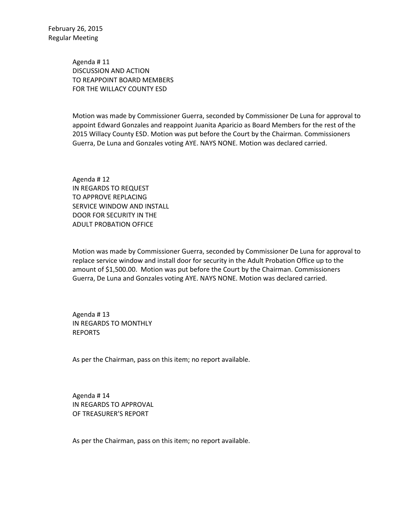Agenda # 11 DISCUSSION AND ACTION TO REAPPOINT BOARD MEMBERS FOR THE WILLACY COUNTY ESD

Motion was made by Commissioner Guerra, seconded by Commissioner De Luna for approval to appoint Edward Gonzales and reappoint Juanita Aparicio as Board Members for the rest of the 2015 Willacy County ESD. Motion was put before the Court by the Chairman. Commissioners Guerra, De Luna and Gonzales voting AYE. NAYS NONE. Motion was declared carried.

Agenda # 12 IN REGARDS TO REQUEST TO APPROVE REPLACING SERVICE WINDOW AND INSTALL DOOR FOR SECURITY IN THE ADULT PROBATION OFFICE

Motion was made by Commissioner Guerra, seconded by Commissioner De Luna for approval to replace service window and install door for security in the Adult Probation Office up to the amount of \$1,500.00. Motion was put before the Court by the Chairman. Commissioners Guerra, De Luna and Gonzales voting AYE. NAYS NONE. Motion was declared carried.

Agenda # 13 IN REGARDS TO MONTHLY REPORTS

As per the Chairman, pass on this item; no report available.

Agenda # 14 IN REGARDS TO APPROVAL OF TREASURER'S REPORT

As per the Chairman, pass on this item; no report available.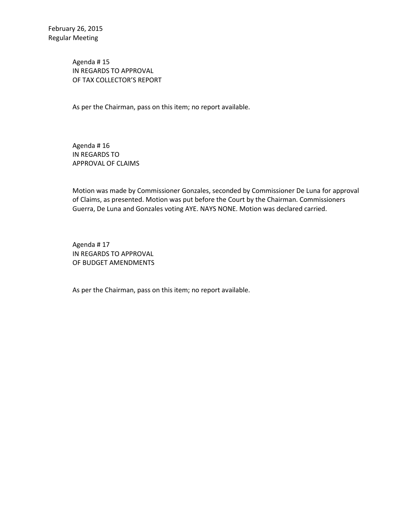Agenda # 15 IN REGARDS TO APPROVAL OF TAX COLLECTOR'S REPORT

As per the Chairman, pass on this item; no report available.

Agenda # 16 IN REGARDS TO APPROVAL OF CLAIMS

Motion was made by Commissioner Gonzales, seconded by Commissioner De Luna for approval of Claims, as presented. Motion was put before the Court by the Chairman. Commissioners Guerra, De Luna and Gonzales voting AYE. NAYS NONE. Motion was declared carried.

Agenda # 17 IN REGARDS TO APPROVAL OF BUDGET AMENDMENTS

As per the Chairman, pass on this item; no report available.